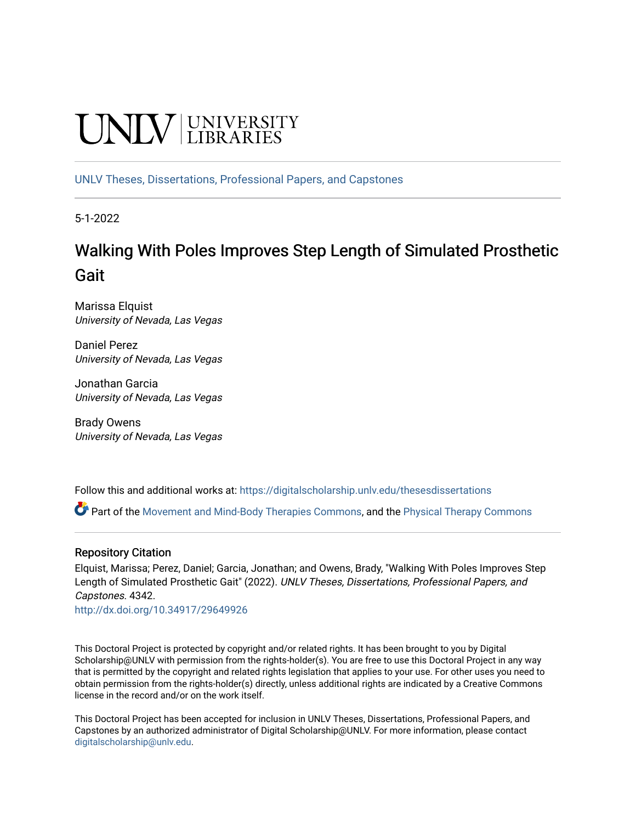# UNIV UNIVERSITY

[UNLV Theses, Dissertations, Professional Papers, and Capstones](https://digitalscholarship.unlv.edu/thesesdissertations)

5-1-2022

## Walking With Poles Improves Step Length of Simulated Prosthetic Gait

Marissa Elquist University of Nevada, Las Vegas

Daniel Perez University of Nevada, Las Vegas

Jonathan Garcia University of Nevada, Las Vegas

Brady Owens University of Nevada, Las Vegas

Follow this and additional works at: [https://digitalscholarship.unlv.edu/thesesdissertations](https://digitalscholarship.unlv.edu/thesesdissertations?utm_source=digitalscholarship.unlv.edu%2Fthesesdissertations%2F4342&utm_medium=PDF&utm_campaign=PDFCoverPages)

Part of the [Movement and Mind-Body Therapies Commons](https://network.bepress.com/hgg/discipline/751?utm_source=digitalscholarship.unlv.edu%2Fthesesdissertations%2F4342&utm_medium=PDF&utm_campaign=PDFCoverPages), and the [Physical Therapy Commons](https://network.bepress.com/hgg/discipline/754?utm_source=digitalscholarship.unlv.edu%2Fthesesdissertations%2F4342&utm_medium=PDF&utm_campaign=PDFCoverPages)

#### Repository Citation

Elquist, Marissa; Perez, Daniel; Garcia, Jonathan; and Owens, Brady, "Walking With Poles Improves Step Length of Simulated Prosthetic Gait" (2022). UNLV Theses, Dissertations, Professional Papers, and Capstones. 4342.

<http://dx.doi.org/10.34917/29649926>

This Doctoral Project is protected by copyright and/or related rights. It has been brought to you by Digital Scholarship@UNLV with permission from the rights-holder(s). You are free to use this Doctoral Project in any way that is permitted by the copyright and related rights legislation that applies to your use. For other uses you need to obtain permission from the rights-holder(s) directly, unless additional rights are indicated by a Creative Commons license in the record and/or on the work itself.

This Doctoral Project has been accepted for inclusion in UNLV Theses, Dissertations, Professional Papers, and Capstones by an authorized administrator of Digital Scholarship@UNLV. For more information, please contact [digitalscholarship@unlv.edu](mailto:digitalscholarship@unlv.edu).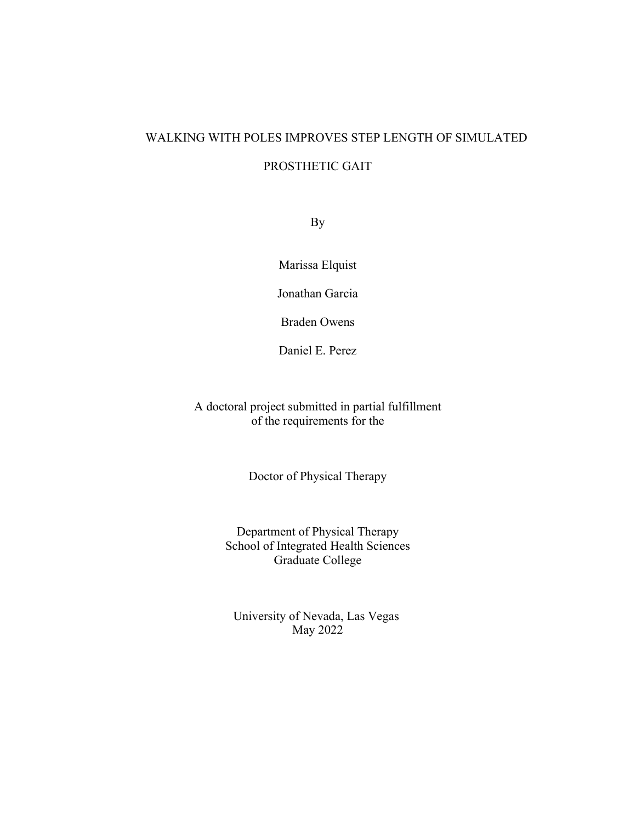## WALKING WITH POLES IMPROVES STEP LENGTH OF SIMULATED

#### PROSTHETIC GAIT

By

Marissa Elquist

Jonathan Garcia

Braden Owens

Daniel E. Perez

A doctoral project submitted in partial fulfillment of the requirements for the

Doctor of Physical Therapy

Department of Physical Therapy School of Integrated Health Sciences Graduate College

University of Nevada, Las Vegas May 2022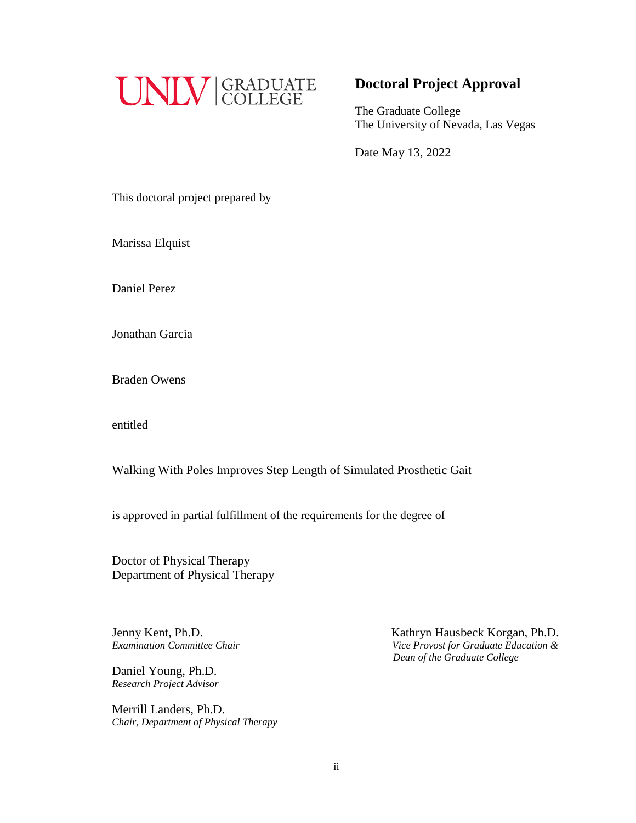

### **Doctoral Project Approval**

The Graduate College The University of Nevada, Las Vegas

Date May 13, 2022

This doctoral project prepared by

Marissa Elquist

Daniel Perez

Jonathan Garcia

Braden Owens

entitled

Walking With Poles Improves Step Length of Simulated Prosthetic Gait

is approved in partial fulfillment of the requirements for the degree of

Doctor of Physical Therapy Department of Physical Therapy

Jenny Kent, Ph.D.

Daniel Young, Ph.D. *Research Project Advisor*

Merrill Landers, Ph.D. *Chair, Department of Physical Therapy*

Jenny Kent, Ph.D.<br>*Examination Committee Chair* **Examination Committee Chair** *Since Provost for Graduate Education & Examination Committee Chair Vice Provost for Graduate Education & Dean of the Graduate College*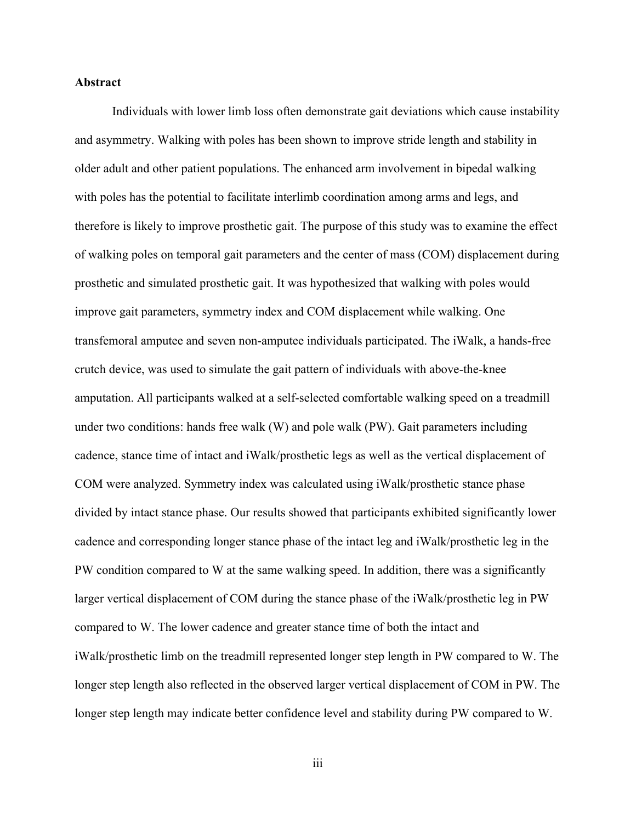#### **Abstract**

Individuals with lower limb loss often demonstrate gait deviations which cause instability and asymmetry. Walking with poles has been shown to improve stride length and stability in older adult and other patient populations. The enhanced arm involvement in bipedal walking with poles has the potential to facilitate interlimb coordination among arms and legs, and therefore is likely to improve prosthetic gait. The purpose of this study was to examine the effect of walking poles on temporal gait parameters and the center of mass (COM) displacement during prosthetic and simulated prosthetic gait. It was hypothesized that walking with poles would improve gait parameters, symmetry index and COM displacement while walking. One transfemoral amputee and seven non-amputee individuals participated. The iWalk, a hands-free crutch device, was used to simulate the gait pattern of individuals with above-the-knee amputation. All participants walked at a self-selected comfortable walking speed on a treadmill under two conditions: hands free walk (W) and pole walk (PW). Gait parameters including cadence, stance time of intact and iWalk/prosthetic legs as well as the vertical displacement of COM were analyzed. Symmetry index was calculated using iWalk/prosthetic stance phase divided by intact stance phase. Our results showed that participants exhibited significantly lower cadence and corresponding longer stance phase of the intact leg and iWalk/prosthetic leg in the PW condition compared to W at the same walking speed. In addition, there was a significantly larger vertical displacement of COM during the stance phase of the iWalk/prosthetic leg in PW compared to W. The lower cadence and greater stance time of both the intact and iWalk/prosthetic limb on the treadmill represented longer step length in PW compared to W. The longer step length also reflected in the observed larger vertical displacement of COM in PW. The longer step length may indicate better confidence level and stability during PW compared to W.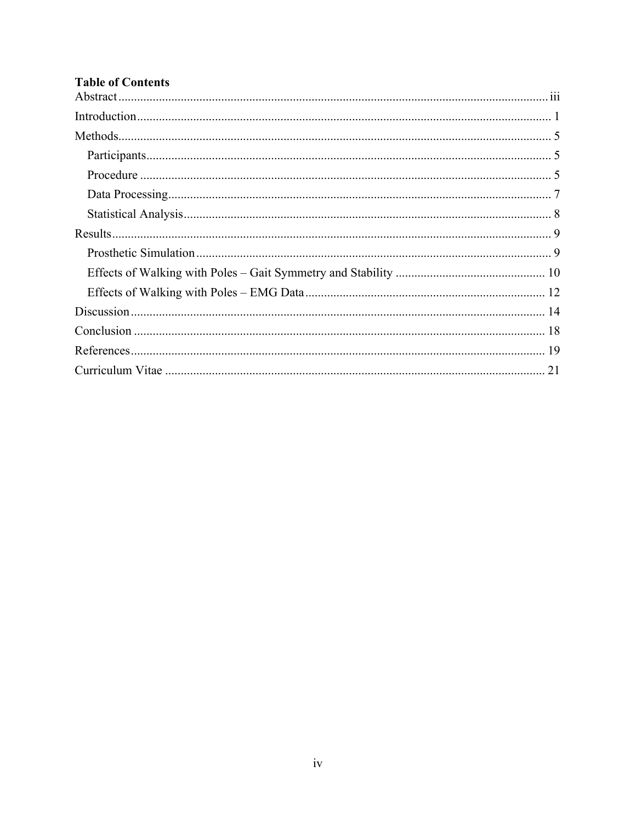## **Table of Contents**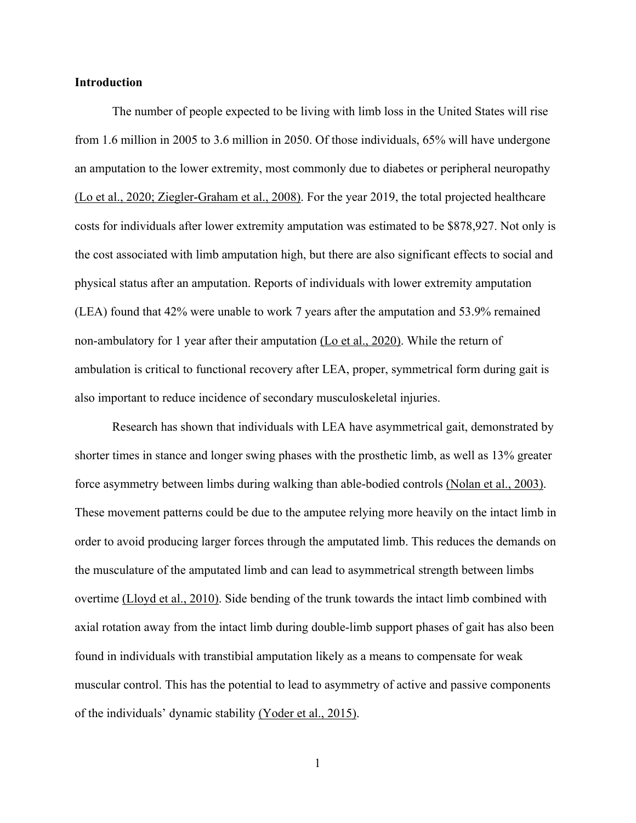#### **Introduction**

The number of people expected to be living with limb loss in the United States will rise from 1.6 million in 2005 to 3.6 million in 2050. Of those individuals, 65% will have undergone an amputation to the lower extremity, most commonly due to diabetes or peripheral neuropathy (Lo et al., 2020; Ziegler-Graham et al., 2008). For the year 2019, the total projected healthcare costs for individuals after lower extremity amputation was estimated to be \$878,927. Not only is the cost associated with limb amputation high, but there are also significant effects to social and physical status after an amputation. Reports of individuals with lower extremity amputation (LEA) found that 42% were unable to work 7 years after the amputation and 53.9% remained non-ambulatory for 1 year after their amputation  $(Lo et al., 2020)$ . While the return of ambulation is critical to functional recovery after LEA, proper, symmetrical form during gait is also important to reduce incidence of secondary musculoskeletal injuries.

Research has shown that individuals with LEA have asymmetrical gait, demonstrated by shorter times in stance and longer swing phases with the prosthetic limb, as well as 13% greater force asymmetry between limbs during walking than able-bodied controls (Nolan et al., 2003). These movement patterns could be due to the amputee relying more heavily on the intact limb in order to avoid producing larger forces through the amputated limb. This reduces the demands on the musculature of the amputated limb and can lead to asymmetrical strength between limbs overtime (Lloyd et al., 2010). Side bending of the trunk towards the intact limb combined with axial rotation away from the intact limb during double-limb support phases of gait has also been found in individuals with transtibial amputation likely as a means to compensate for weak muscular control. This has the potential to lead to asymmetry of active and passive components of the individuals' dynamic stability (Yoder et al., 2015).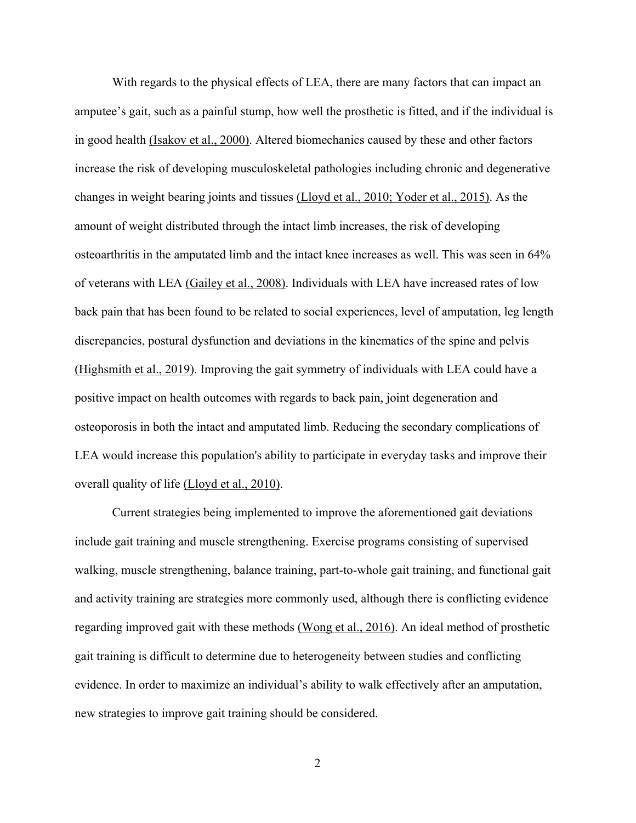With regards to the physical effects of LEA, there are many factors that can impact an amputee's gait, such as a painful stump, how well the prosthetic is fitted, and if the individual is in good health (Isakov et al., 2000). Altered biomechanics caused by these and other factors increase the risk of developing musculoskeletal pathologies including chronic and degenerative changes in weight bearing joints and tissues (Lloyd et al., 2010; Yoder et al., 2015). As the amount of weight distributed through the intact limb increases, the risk of developing osteoarthritis in the amputated limb and the intact knee increases as well. This was seen in 64% of veterans with LEA (Gailey et al., 2008). Individuals with LEA have increased rates of low back pain that has been found to be related to social experiences, level of amputation, leg length discrepancies, postural dysfunction and deviations in the kinematics of the spine and pelvis (Highsmith et al., 2019). Improving the gait symmetry of individuals with LEA could have a positive impact on health outcomes with regards to back pain, joint degeneration and osteoporosis in both the intact and amputated limb. Reducing the secondary complications of LEA would increase this population's ability to participate in everyday tasks and improve their overall quality of life (Lloyd et al., 2010).

Current strategies being implemented to improve the aforementioned gait deviations include gait training and muscle strengthening. Exercise programs consisting of supervised walking, muscle strengthening, balance training, part-to-whole gait training, and functional gait and activity training are strategies more commonly used, although there is conflicting evidence regarding improved gait with these methods (Wong et al., 2016). An ideal method of prosthetic gait training is difficult to determine due to heterogeneity between studies and conflicting evidence. In order to maximize an individual's ability to walk effectively after an amputation, new strategies to improve gait training should be considered.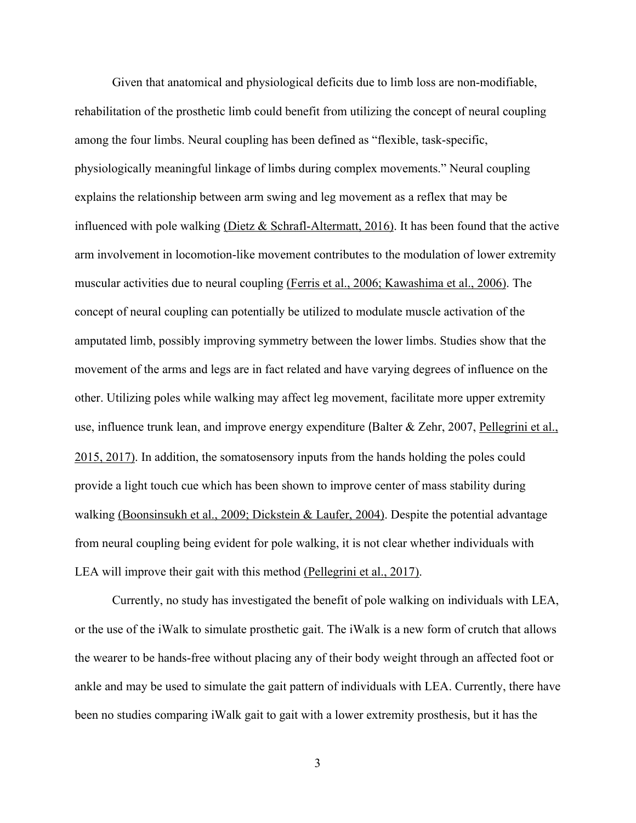Given that anatomical and physiological deficits due to limb loss are non-modifiable, rehabilitation of the prosthetic limb could benefit from utilizing the concept of neural coupling among the four limbs. Neural coupling has been defined as "flexible, task-specific, physiologically meaningful linkage of limbs during complex movements." Neural coupling explains the relationship between arm swing and leg movement as a reflex that may be influenced with pole walking (Dietz & Schrafl-Altermatt, 2016). It has been found that the active arm involvement in locomotion-like movement contributes to the modulation of lower extremity muscular activities due to neural coupling (Ferris et al., 2006; Kawashima et al., 2006). The concept of neural coupling can potentially be utilized to modulate muscle activation of the amputated limb, possibly improving symmetry between the lower limbs. Studies show that the movement of the arms and legs are in fact related and have varying degrees of influence on the other. Utilizing poles while walking may affect leg movement, facilitate more upper extremity use, influence trunk lean, and improve energy expenditure (Balter & Zehr, 2007, Pellegrini et al., 2015, 2017). In addition, the somatosensory inputs from the hands holding the poles could provide a light touch cue which has been shown to improve center of mass stability during walking (Boonsinsukh et al., 2009; Dickstein & Laufer, 2004). Despite the potential advantage from neural coupling being evident for pole walking, it is not clear whether individuals with LEA will improve their gait with this method (Pellegrini et al., 2017).

Currently, no study has investigated the benefit of pole walking on individuals with LEA, or the use of the iWalk to simulate prosthetic gait. The iWalk is a new form of crutch that allows the wearer to be hands-free without placing any of their body weight through an affected foot or ankle and may be used to simulate the gait pattern of individuals with LEA. Currently, there have been no studies comparing iWalk gait to gait with a lower extremity prosthesis, but it has the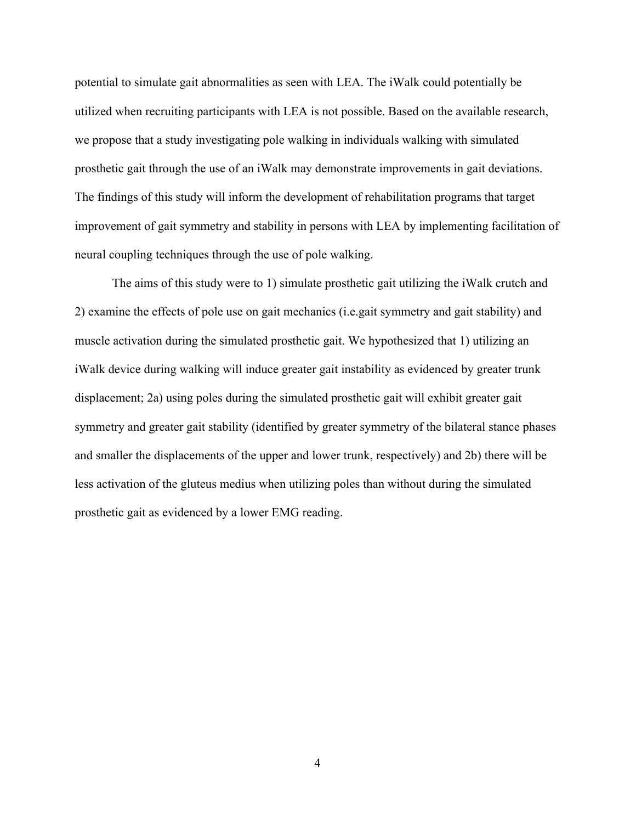potential to simulate gait abnormalities as seen with LEA. The iWalk could potentially be utilized when recruiting participants with LEA is not possible. Based on the available research, we propose that a study investigating pole walking in individuals walking with simulated prosthetic gait through the use of an iWalk may demonstrate improvements in gait deviations. The findings of this study will inform the development of rehabilitation programs that target improvement of gait symmetry and stability in persons with LEA by implementing facilitation of neural coupling techniques through the use of pole walking.

The aims of this study were to 1) simulate prosthetic gait utilizing the iWalk crutch and 2) examine the effects of pole use on gait mechanics (i.e.gait symmetry and gait stability) and muscle activation during the simulated prosthetic gait. We hypothesized that 1) utilizing an iWalk device during walking will induce greater gait instability as evidenced by greater trunk displacement; 2a) using poles during the simulated prosthetic gait will exhibit greater gait symmetry and greater gait stability (identified by greater symmetry of the bilateral stance phases and smaller the displacements of the upper and lower trunk, respectively) and 2b) there will be less activation of the gluteus medius when utilizing poles than without during the simulated prosthetic gait as evidenced by a lower EMG reading.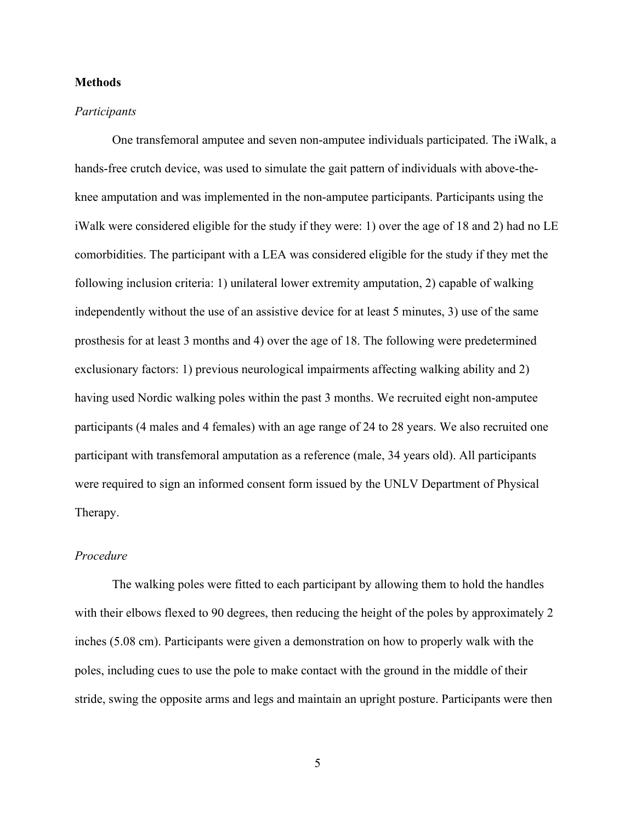#### **Methods**

#### *Participants*

One transfemoral amputee and seven non-amputee individuals participated. The iWalk, a hands-free crutch device, was used to simulate the gait pattern of individuals with above-theknee amputation and was implemented in the non-amputee participants. Participants using the iWalk were considered eligible for the study if they were: 1) over the age of 18 and 2) had no LE comorbidities. The participant with a LEA was considered eligible for the study if they met the following inclusion criteria: 1) unilateral lower extremity amputation, 2) capable of walking independently without the use of an assistive device for at least 5 minutes, 3) use of the same prosthesis for at least 3 months and 4) over the age of 18. The following were predetermined exclusionary factors: 1) previous neurological impairments affecting walking ability and 2) having used Nordic walking poles within the past 3 months. We recruited eight non-amputee participants (4 males and 4 females) with an age range of 24 to 28 years. We also recruited one participant with transfemoral amputation as a reference (male, 34 years old). All participants were required to sign an informed consent form issued by the UNLV Department of Physical Therapy.

#### *Procedure*

The walking poles were fitted to each participant by allowing them to hold the handles with their elbows flexed to 90 degrees, then reducing the height of the poles by approximately 2 inches (5.08 cm). Participants were given a demonstration on how to properly walk with the poles, including cues to use the pole to make contact with the ground in the middle of their stride, swing the opposite arms and legs and maintain an upright posture. Participants were then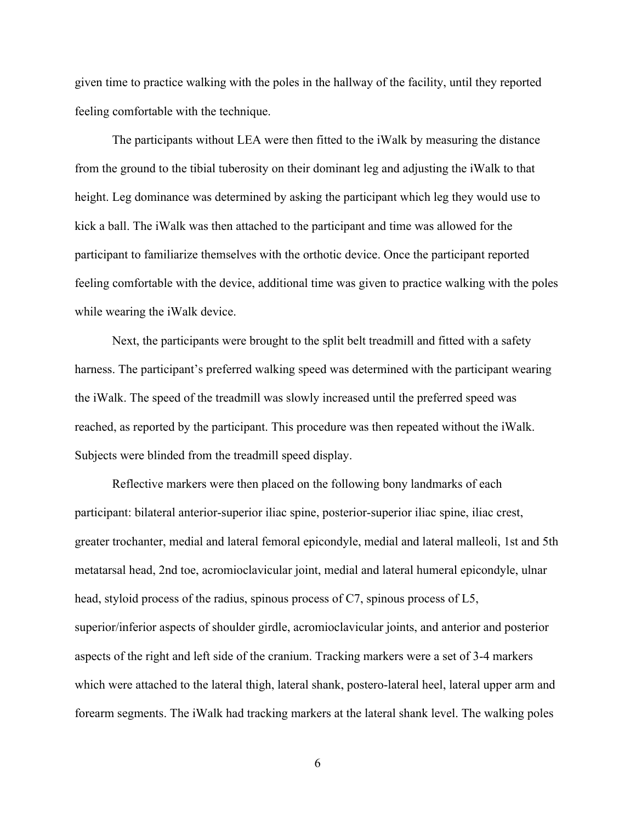given time to practice walking with the poles in the hallway of the facility, until they reported feeling comfortable with the technique.

The participants without LEA were then fitted to the iWalk by measuring the distance from the ground to the tibial tuberosity on their dominant leg and adjusting the iWalk to that height. Leg dominance was determined by asking the participant which leg they would use to kick a ball. The iWalk was then attached to the participant and time was allowed for the participant to familiarize themselves with the orthotic device. Once the participant reported feeling comfortable with the device, additional time was given to practice walking with the poles while wearing the iWalk device.

Next, the participants were brought to the split belt treadmill and fitted with a safety harness. The participant's preferred walking speed was determined with the participant wearing the iWalk. The speed of the treadmill was slowly increased until the preferred speed was reached, as reported by the participant. This procedure was then repeated without the iWalk. Subjects were blinded from the treadmill speed display.

Reflective markers were then placed on the following bony landmarks of each participant: bilateral anterior-superior iliac spine, posterior-superior iliac spine, iliac crest, greater trochanter, medial and lateral femoral epicondyle, medial and lateral malleoli, 1st and 5th metatarsal head, 2nd toe, acromioclavicular joint, medial and lateral humeral epicondyle, ulnar head, styloid process of the radius, spinous process of C7, spinous process of L5, superior/inferior aspects of shoulder girdle, acromioclavicular joints, and anterior and posterior aspects of the right and left side of the cranium. Tracking markers were a set of 3-4 markers which were attached to the lateral thigh, lateral shank, postero-lateral heel, lateral upper arm and forearm segments. The iWalk had tracking markers at the lateral shank level. The walking poles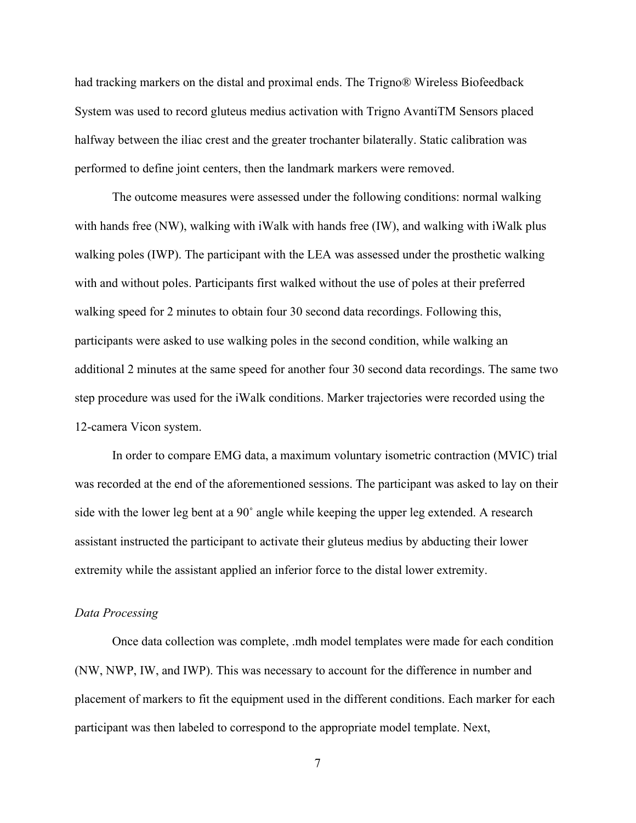had tracking markers on the distal and proximal ends. The Trigno® Wireless Biofeedback System was used to record gluteus medius activation with Trigno AvantiTM Sensors placed halfway between the iliac crest and the greater trochanter bilaterally. Static calibration was performed to define joint centers, then the landmark markers were removed.

The outcome measures were assessed under the following conditions: normal walking with hands free (NW), walking with iWalk with hands free (IW), and walking with iWalk plus walking poles (IWP). The participant with the LEA was assessed under the prosthetic walking with and without poles. Participants first walked without the use of poles at their preferred walking speed for 2 minutes to obtain four 30 second data recordings. Following this, participants were asked to use walking poles in the second condition, while walking an additional 2 minutes at the same speed for another four 30 second data recordings. The same two step procedure was used for the iWalk conditions. Marker trajectories were recorded using the 12-camera Vicon system.

In order to compare EMG data, a maximum voluntary isometric contraction (MVIC) trial was recorded at the end of the aforementioned sessions. The participant was asked to lay on their side with the lower leg bent at a 90˚ angle while keeping the upper leg extended. A research assistant instructed the participant to activate their gluteus medius by abducting their lower extremity while the assistant applied an inferior force to the distal lower extremity.

#### *Data Processing*

Once data collection was complete, .mdh model templates were made for each condition (NW, NWP, IW, and IWP). This was necessary to account for the difference in number and placement of markers to fit the equipment used in the different conditions. Each marker for each participant was then labeled to correspond to the appropriate model template. Next,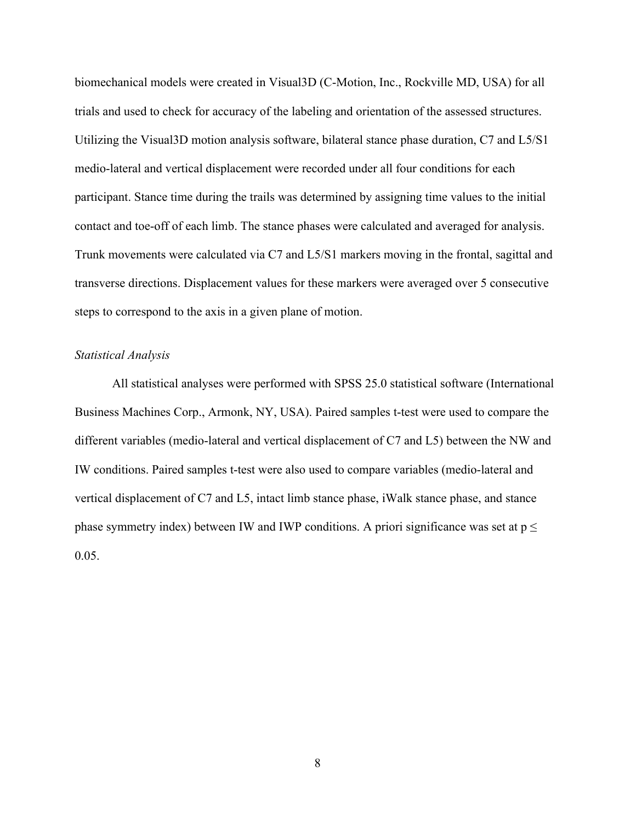biomechanical models were created in Visual3D (C-Motion, Inc., Rockville MD, USA) for all trials and used to check for accuracy of the labeling and orientation of the assessed structures. Utilizing the Visual3D motion analysis software, bilateral stance phase duration, C7 and L5/S1 medio-lateral and vertical displacement were recorded under all four conditions for each participant. Stance time during the trails was determined by assigning time values to the initial contact and toe-off of each limb. The stance phases were calculated and averaged for analysis. Trunk movements were calculated via C7 and L5/S1 markers moving in the frontal, sagittal and transverse directions. Displacement values for these markers were averaged over 5 consecutive steps to correspond to the axis in a given plane of motion.

#### *Statistical Analysis*

All statistical analyses were performed with SPSS 25.0 statistical software (International Business Machines Corp., Armonk, NY, USA). Paired samples t-test were used to compare the different variables (medio-lateral and vertical displacement of C7 and L5) between the NW and IW conditions. Paired samples t-test were also used to compare variables (medio-lateral and vertical displacement of C7 and L5, intact limb stance phase, iWalk stance phase, and stance phase symmetry index) between IW and IWP conditions. A priori significance was set at  $p \leq$ 0.05.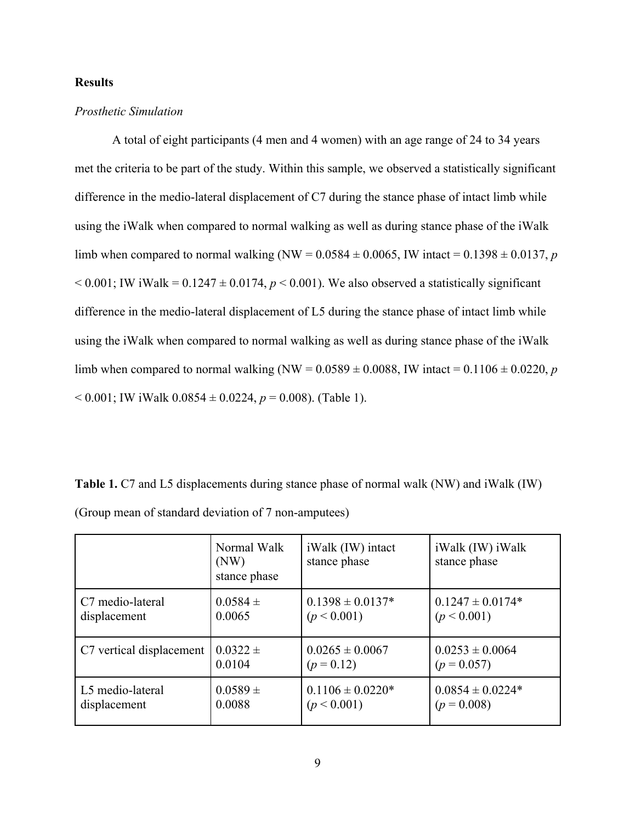#### **Results**

#### *Prosthetic Simulation*

A total of eight participants (4 men and 4 women) with an age range of 24 to 34 years met the criteria to be part of the study. Within this sample, we observed a statistically significant difference in the medio-lateral displacement of C7 during the stance phase of intact limb while using the iWalk when compared to normal walking as well as during stance phase of the iWalk limb when compared to normal walking (NW =  $0.0584 \pm 0.0065$ , IW intact =  $0.1398 \pm 0.0137$ , *p*  $< 0.001$ ; IW iWalk =  $0.1247 \pm 0.0174$ ,  $p < 0.001$ ). We also observed a statistically significant difference in the medio-lateral displacement of L5 during the stance phase of intact limb while using the iWalk when compared to normal walking as well as during stance phase of the iWalk limb when compared to normal walking (NW =  $0.0589 \pm 0.0088$ , IW intact =  $0.1106 \pm 0.0220$ , *p*  $< 0.001$ ; IW iWalk  $0.0854 \pm 0.0224$ ,  $p = 0.008$ ). (Table 1).

**Table 1.** C7 and L5 displacements during stance phase of normal walk (NW) and iWalk (IW) (Group mean of standard deviation of 7 non-amputees)

|                          | Normal Walk<br>(NW)<br>stance phase | iWalk (IW) intact<br>stance phase | iWalk (IW) iWalk<br>stance phase |
|--------------------------|-------------------------------------|-----------------------------------|----------------------------------|
| C7 medio-lateral         | $0.0584 \pm$                        | $0.1398 \pm 0.0137*$              | $0.1247 \pm 0.0174*$             |
| displacement             | 0.0065                              | (p < 0.001)                       | (p < 0.001)                      |
| C7 vertical displacement | $0.0322 \pm$                        | $0.0265 \pm 0.0067$               | $0.0253 \pm 0.0064$              |
|                          | 0.0104                              | $(p = 0.12)$                      | $(p = 0.057)$                    |
| L5 medio-lateral         | $0.0589 +$                          | $0.1106 \pm 0.0220*$              | $0.0854 \pm 0.0224*$             |
| displacement             | 0.0088                              | (p < 0.001)                       | $(p = 0.008)$                    |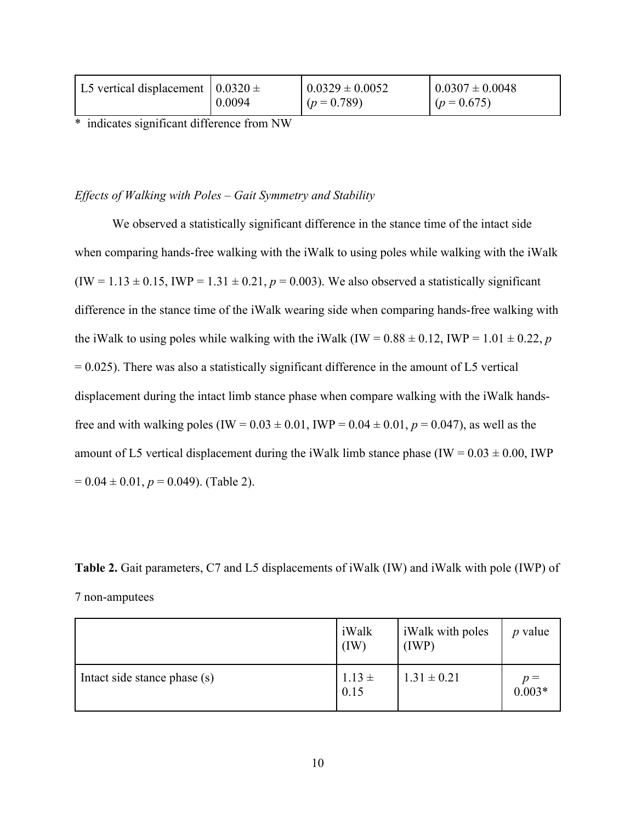| L5 vertical displacement $(0.0320 \pm$ |        | $0.0329 \pm 0.0052$ | $0.0307 \pm 0.0048$ |
|----------------------------------------|--------|---------------------|---------------------|
|                                        | 0.0094 | $(p = 0.789)$       | $(p = 0.675)$       |

\* indicates significant difference from NW

*Effects of Walking with Poles – Gait Symmetry and Stability*

We observed a statistically significant difference in the stance time of the intact side when comparing hands-free walking with the iWalk to using poles while walking with the iWalk  $(IW = 1.13 \pm 0.15, IWP = 1.31 \pm 0.21, p = 0.003)$ . We also observed a statistically significant difference in the stance time of the iWalk wearing side when comparing hands-free walking with the iWalk to using poles while walking with the iWalk (IW =  $0.88 \pm 0.12$ , IWP =  $1.01 \pm 0.22$ , *p*  $= 0.025$ ). There was also a statistically significant difference in the amount of L5 vertical displacement during the intact limb stance phase when compare walking with the iWalk handsfree and with walking poles (IW =  $0.03 \pm 0.01$ , IWP =  $0.04 \pm 0.01$ ,  $p = 0.047$ ), as well as the amount of L5 vertical displacement during the iWalk limb stance phase (IW =  $0.03 \pm 0.00$ , IWP  $= 0.04 \pm 0.01, p = 0.049$ . (Table 2).

**Table 2.** Gait parameters, C7 and L5 displacements of iWalk (IW) and iWalk with pole (IWP) of 7 non-amputees

|                              | iWalk<br>(IW)      | <i>i</i> Walk with poles<br>(IWP) | <i>p</i> value    |
|------------------------------|--------------------|-----------------------------------|-------------------|
| Intact side stance phase (s) | $1.13 \pm$<br>0.15 | $1.31 \pm 0.21$                   | $p =$<br>$0.003*$ |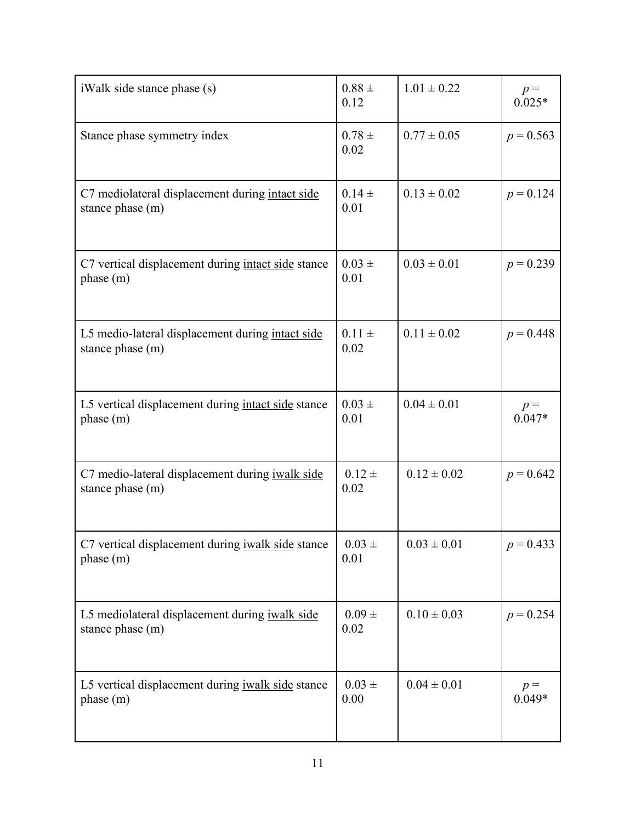| iWalk side stance phase (s)                                           | $0.88 \pm$<br>0.12 | $1.01 \pm 0.22$ | $p =$<br>$0.025*$ |
|-----------------------------------------------------------------------|--------------------|-----------------|-------------------|
| Stance phase symmetry index                                           | $0.78 \pm$<br>0.02 | $0.77 \pm 0.05$ | $p = 0.563$       |
| C7 mediolateral displacement during intact side<br>stance phase (m)   | $0.14 \pm$<br>0.01 | $0.13 \pm 0.02$ | $p = 0.124$       |
| C7 vertical displacement during intact side stance<br>phase(m)        | $0.03 \pm$<br>0.01 | $0.03 \pm 0.01$ | $p = 0.239$       |
| L5 medio-lateral displacement during intact side<br>stance phase (m)  | $0.11 \pm$<br>0.02 | $0.11 \pm 0.02$ | $p = 0.448$       |
| L5 vertical displacement during intact side stance<br>phase (m)       | $0.03 \pm$<br>0.01 | $0.04 \pm 0.01$ | $p =$<br>$0.047*$ |
| C7 medio-lateral displacement during iwalk side<br>stance phase (m)   | $0.12 \pm$<br>0.02 | $0.12 \pm 0.02$ | $p = 0.642$       |
| C7 vertical displacement during <i>iwalk</i> side stance<br>phase (m) | $0.03 \pm$<br>0.01 | $0.03 \pm 0.01$ | $p = 0.433$       |
| L5 mediolateral displacement during iwalk side<br>stance phase (m)    | $0.09 \pm$<br>0.02 | $0.10 \pm 0.03$ | $p = 0.254$       |
| L5 vertical displacement during iwalk side stance<br>phase (m)        | $0.03 \pm$<br>0.00 | $0.04 \pm 0.01$ | $p =$<br>$0.049*$ |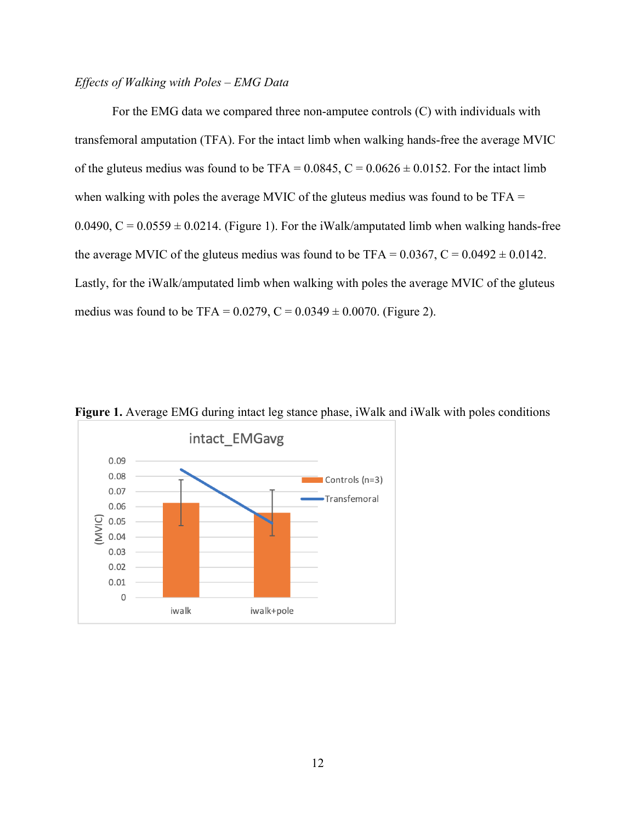#### *Effects of Walking with Poles – EMG Data*

For the EMG data we compared three non-amputee controls (C) with individuals with transfemoral amputation (TFA). For the intact limb when walking hands-free the average MVIC of the gluteus medius was found to be TFA =  $0.0845$ , C =  $0.0626 \pm 0.0152$ . For the intact limb when walking with poles the average MVIC of the gluteus medius was found to be TFA = 0.0490,  $C = 0.0559 \pm 0.0214$ . (Figure 1). For the iWalk/amputated limb when walking hands-free the average MVIC of the gluteus medius was found to be TFA =  $0.0367$ , C =  $0.0492 \pm 0.0142$ . Lastly, for the iWalk/amputated limb when walking with poles the average MVIC of the gluteus medius was found to be TFA =  $0.0279$ , C =  $0.0349 \pm 0.0070$ . (Figure 2).



**Figure 1.** Average EMG during intact leg stance phase, iWalk and iWalk with poles conditions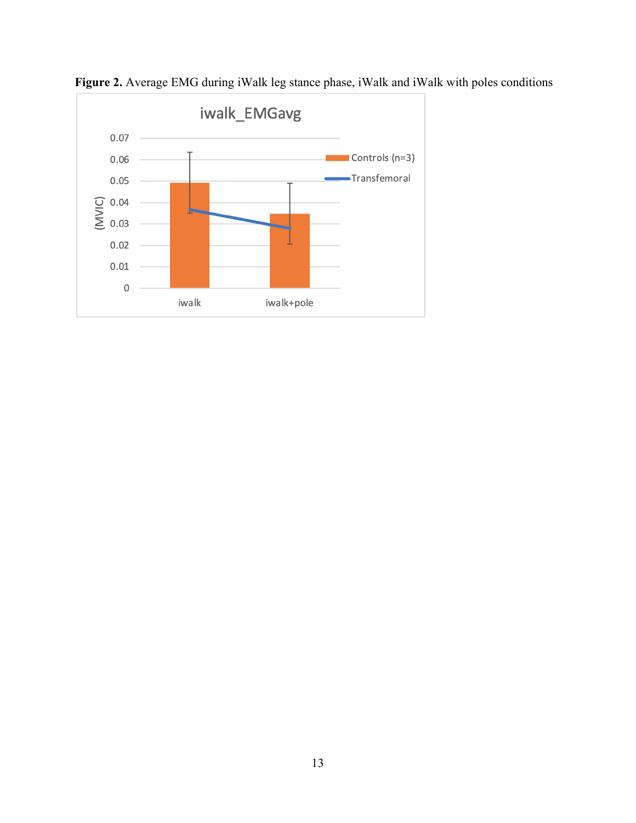

**Figure 2.** Average EMG during iWalk leg stance phase, iWalk and iWalk with poles conditions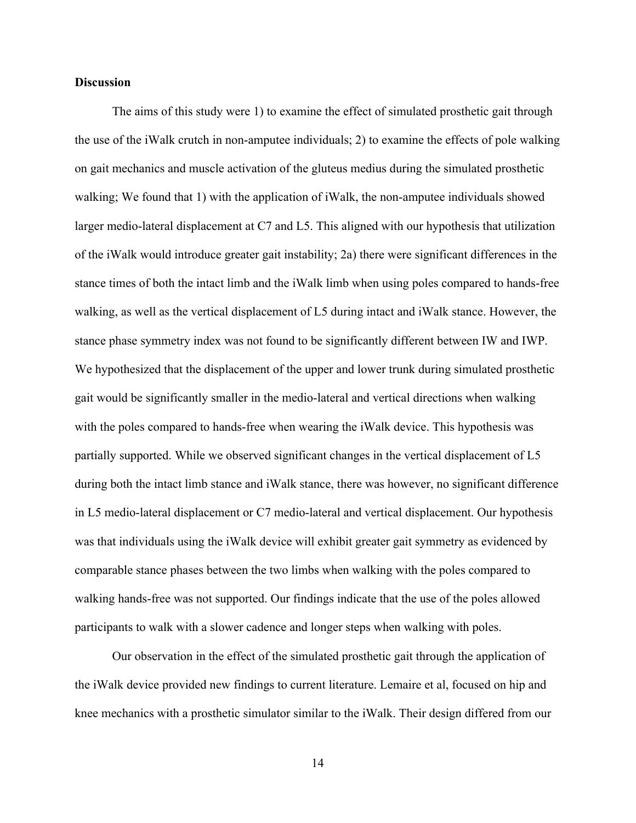#### **Discussion**

The aims of this study were 1) to examine the effect of simulated prosthetic gait through the use of the iWalk crutch in non-amputee individuals; 2) to examine the effects of pole walking on gait mechanics and muscle activation of the gluteus medius during the simulated prosthetic walking; We found that 1) with the application of iWalk, the non-amputee individuals showed larger medio-lateral displacement at C7 and L5. This aligned with our hypothesis that utilization of the iWalk would introduce greater gait instability; 2a) there were significant differences in the stance times of both the intact limb and the iWalk limb when using poles compared to hands-free walking, as well as the vertical displacement of L5 during intact and iWalk stance. However, the stance phase symmetry index was not found to be significantly different between IW and IWP. We hypothesized that the displacement of the upper and lower trunk during simulated prosthetic gait would be significantly smaller in the medio-lateral and vertical directions when walking with the poles compared to hands-free when wearing the iWalk device. This hypothesis was partially supported. While we observed significant changes in the vertical displacement of L5 during both the intact limb stance and iWalk stance, there was however, no significant difference in L5 medio-lateral displacement or C7 medio-lateral and vertical displacement. Our hypothesis was that individuals using the iWalk device will exhibit greater gait symmetry as evidenced by comparable stance phases between the two limbs when walking with the poles compared to walking hands-free was not supported. Our findings indicate that the use of the poles allowed participants to walk with a slower cadence and longer steps when walking with poles.

Our observation in the effect of the simulated prosthetic gait through the application of the iWalk device provided new findings to current literature. Lemaire et al, focused on hip and knee mechanics with a prosthetic simulator similar to the iWalk. Their design differed from our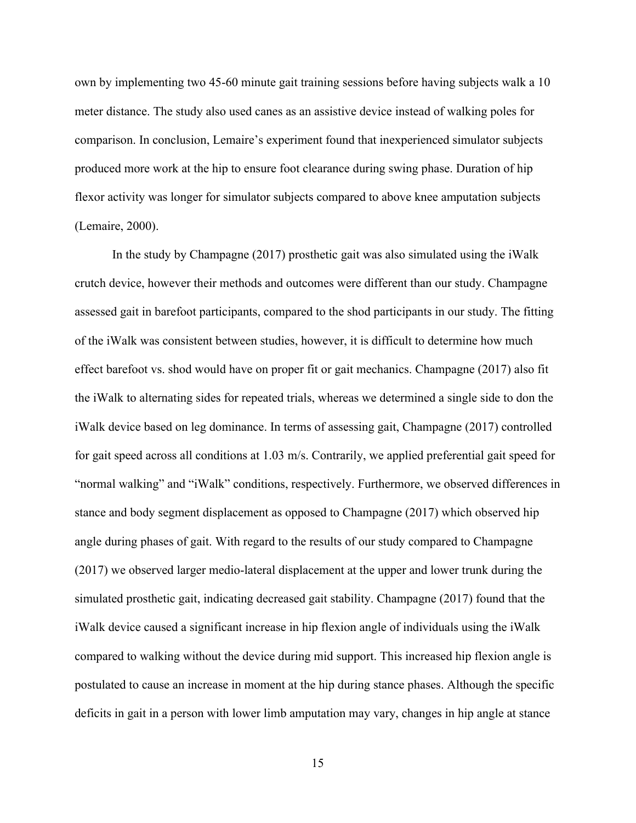own by implementing two 45-60 minute gait training sessions before having subjects walk a 10 meter distance. The study also used canes as an assistive device instead of walking poles for comparison. In conclusion, Lemaire's experiment found that inexperienced simulator subjects produced more work at the hip to ensure foot clearance during swing phase. Duration of hip flexor activity was longer for simulator subjects compared to above knee amputation subjects (Lemaire, 2000).

In the study by Champagne (2017) prosthetic gait was also simulated using the iWalk crutch device, however their methods and outcomes were different than our study. Champagne assessed gait in barefoot participants, compared to the shod participants in our study. The fitting of the iWalk was consistent between studies, however, it is difficult to determine how much effect barefoot vs. shod would have on proper fit or gait mechanics. Champagne (2017) also fit the iWalk to alternating sides for repeated trials, whereas we determined a single side to don the iWalk device based on leg dominance. In terms of assessing gait, Champagne (2017) controlled for gait speed across all conditions at 1.03 m/s. Contrarily, we applied preferential gait speed for "normal walking" and "iWalk" conditions, respectively. Furthermore, we observed differences in stance and body segment displacement as opposed to Champagne (2017) which observed hip angle during phases of gait. With regard to the results of our study compared to Champagne (2017) we observed larger medio-lateral displacement at the upper and lower trunk during the simulated prosthetic gait, indicating decreased gait stability. Champagne (2017) found that the iWalk device caused a significant increase in hip flexion angle of individuals using the iWalk compared to walking without the device during mid support. This increased hip flexion angle is postulated to cause an increase in moment at the hip during stance phases. Although the specific deficits in gait in a person with lower limb amputation may vary, changes in hip angle at stance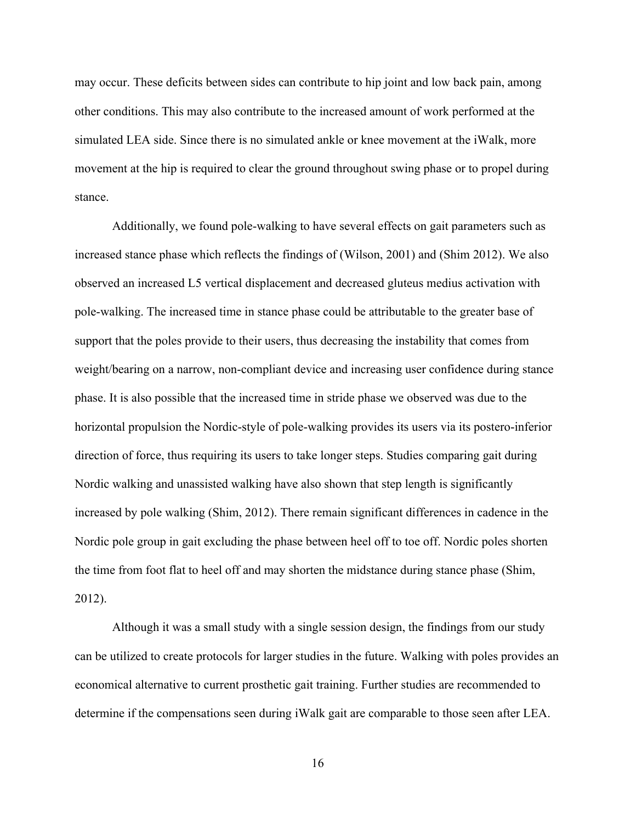may occur. These deficits between sides can contribute to hip joint and low back pain, among other conditions. This may also contribute to the increased amount of work performed at the simulated LEA side. Since there is no simulated ankle or knee movement at the iWalk, more movement at the hip is required to clear the ground throughout swing phase or to propel during stance.

Additionally, we found pole-walking to have several effects on gait parameters such as increased stance phase which reflects the findings of (Wilson, 2001) and (Shim 2012). We also observed an increased L5 vertical displacement and decreased gluteus medius activation with pole-walking. The increased time in stance phase could be attributable to the greater base of support that the poles provide to their users, thus decreasing the instability that comes from weight/bearing on a narrow, non-compliant device and increasing user confidence during stance phase. It is also possible that the increased time in stride phase we observed was due to the horizontal propulsion the Nordic-style of pole-walking provides its users via its postero-inferior direction of force, thus requiring its users to take longer steps. Studies comparing gait during Nordic walking and unassisted walking have also shown that step length is significantly increased by pole walking (Shim, 2012). There remain significant differences in cadence in the Nordic pole group in gait excluding the phase between heel off to toe off. Nordic poles shorten the time from foot flat to heel off and may shorten the midstance during stance phase (Shim, 2012).

Although it was a small study with a single session design, the findings from our study can be utilized to create protocols for larger studies in the future. Walking with poles provides an economical alternative to current prosthetic gait training. Further studies are recommended to determine if the compensations seen during iWalk gait are comparable to those seen after LEA.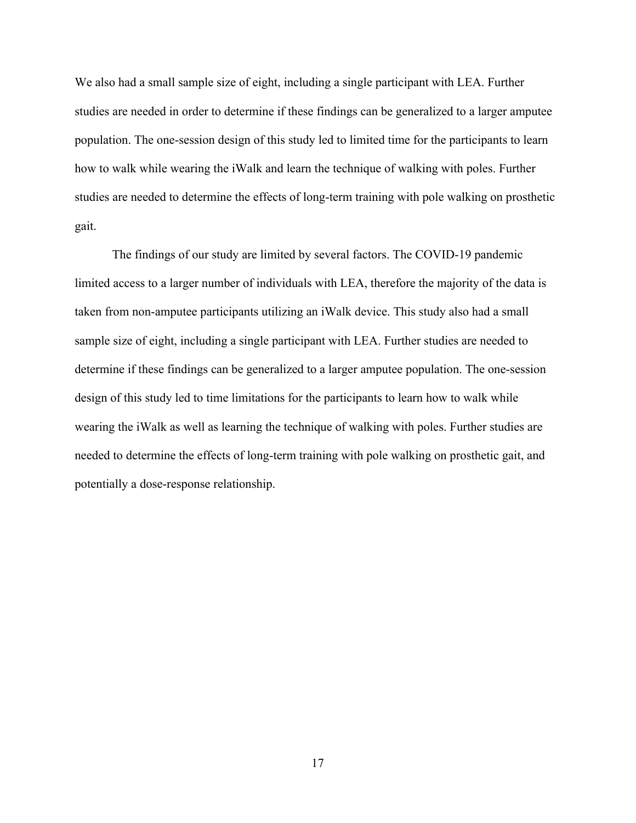We also had a small sample size of eight, including a single participant with LEA. Further studies are needed in order to determine if these findings can be generalized to a larger amputee population. The one-session design of this study led to limited time for the participants to learn how to walk while wearing the iWalk and learn the technique of walking with poles. Further studies are needed to determine the effects of long-term training with pole walking on prosthetic gait.

The findings of our study are limited by several factors. The COVID-19 pandemic limited access to a larger number of individuals with LEA, therefore the majority of the data is taken from non-amputee participants utilizing an iWalk device. This study also had a small sample size of eight, including a single participant with LEA. Further studies are needed to determine if these findings can be generalized to a larger amputee population. The one-session design of this study led to time limitations for the participants to learn how to walk while wearing the iWalk as well as learning the technique of walking with poles. Further studies are needed to determine the effects of long-term training with pole walking on prosthetic gait, and potentially a dose-response relationship.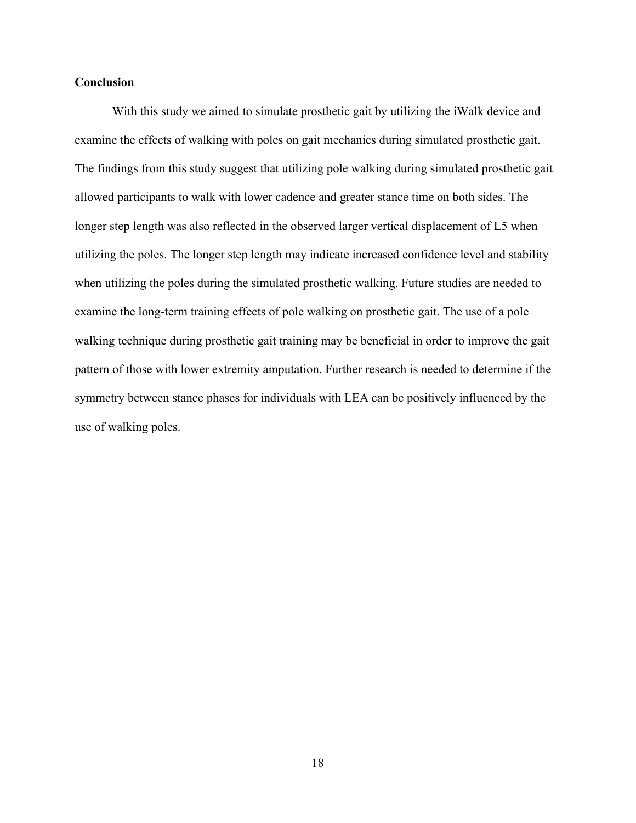#### **Conclusion**

With this study we aimed to simulate prosthetic gait by utilizing the iWalk device and examine the effects of walking with poles on gait mechanics during simulated prosthetic gait. The findings from this study suggest that utilizing pole walking during simulated prosthetic gait allowed participants to walk with lower cadence and greater stance time on both sides. The longer step length was also reflected in the observed larger vertical displacement of L5 when utilizing the poles. The longer step length may indicate increased confidence level and stability when utilizing the poles during the simulated prosthetic walking. Future studies are needed to examine the long-term training effects of pole walking on prosthetic gait. The use of a pole walking technique during prosthetic gait training may be beneficial in order to improve the gait pattern of those with lower extremity amputation. Further research is needed to determine if the symmetry between stance phases for individuals with LEA can be positively influenced by the use of walking poles.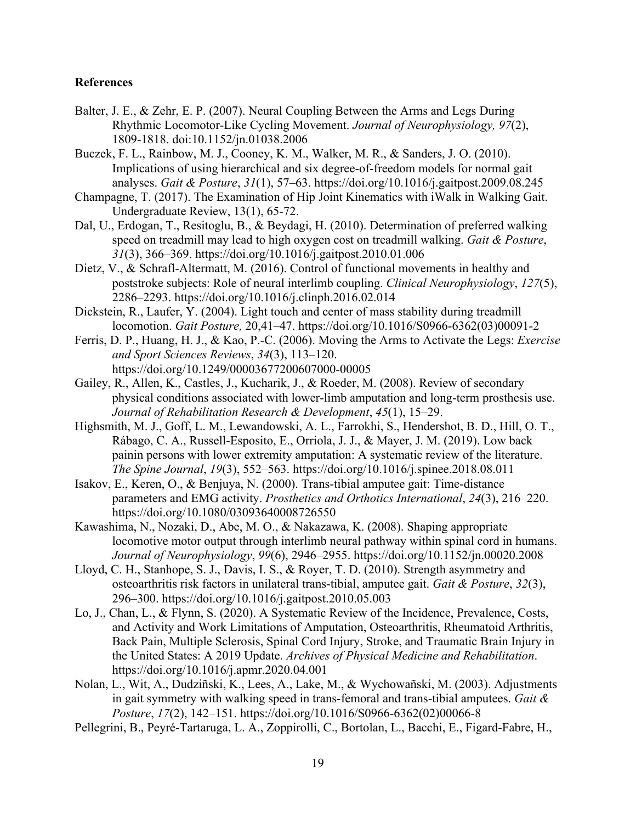#### **References**

- Balter, J. E., & Zehr, E. P. (2007). Neural Coupling Between the Arms and Legs During Rhythmic Locomotor-Like Cycling Movement. *Journal of Neurophysiology, 97*(2), 1809-1818. doi:10.1152/jn.01038.2006
- Buczek, F. L., Rainbow, M. J., Cooney, K. M., Walker, M. R., & Sanders, J. O. (2010). Implications of using hierarchical and six degree-of-freedom models for normal gait analyses. *Gait & Posture*, *31*(1), 57–63. https://doi.org/10.1016/j.gaitpost.2009.08.245
- Champagne, T. (2017). The Examination of Hip Joint Kinematics with iWalk in Walking Gait. Undergraduate Review, 13(1), 65-72.
- Dal, U., Erdogan, T., Resitoglu, B., & Beydagi, H. (2010). Determination of preferred walking speed on treadmill may lead to high oxygen cost on treadmill walking. *Gait & Posture*, *31*(3), 366–369. https://doi.org/10.1016/j.gaitpost.2010.01.006
- Dietz, V., & Schrafl-Altermatt, M. (2016). Control of functional movements in healthy and poststroke subjects: Role of neural interlimb coupling. *Clinical Neurophysiology*, *127*(5), 2286–2293. https://doi.org/10.1016/j.clinph.2016.02.014
- Dickstein, R., Laufer, Y. (2004). Light touch and center of mass stability during treadmill locomotion. *Gait Posture,* 20,41–47. https://doi.org/10.1016/S0966-6362(03)00091-2
- Ferris, D. P., Huang, H. J., & Kao, P.-C. (2006). Moving the Arms to Activate the Legs: *Exercise and Sport Sciences Reviews*, *34*(3), 113–120. https://doi.org/10.1249/00003677200607000-00005
- Gailey, R., Allen, K., Castles, J., Kucharik, J., & Roeder, M. (2008). Review of secondary physical conditions associated with lower-limb amputation and long-term prosthesis use. *Journal of Rehabilitation Research & Development*, *45*(1), 15–29.
- Highsmith, M. J., Goff, L. M., Lewandowski, A. L., Farrokhi, S., Hendershot, B. D., Hill, O. T., Rábago, C. A., Russell-Esposito, E., Orriola, J. J., & Mayer, J. M. (2019). Low back painin persons with lower extremity amputation: A systematic review of the literature. *The Spine Journal*, *19*(3), 552–563. https://doi.org/10.1016/j.spinee.2018.08.011
- Isakov, E., Keren, O., & Benjuya, N. (2000). Trans-tibial amputee gait: Time-distance parameters and EMG activity. *Prosthetics and Orthotics International*, *24*(3), 216–220. https://doi.org/10.1080/03093640008726550
- Kawashima, N., Nozaki, D., Abe, M. O., & Nakazawa, K. (2008). Shaping appropriate locomotive motor output through interlimb neural pathway within spinal cord in humans. *Journal of Neurophysiology*, *99*(6), 2946–2955. https://doi.org/10.1152/jn.00020.2008
- Lloyd, C. H., Stanhope, S. J., Davis, I. S., & Royer, T. D. (2010). Strength asymmetry and osteoarthritis risk factors in unilateral trans-tibial, amputee gait. *Gait & Posture*, *32*(3), 296–300. https://doi.org/10.1016/j.gaitpost.2010.05.003
- Lo, J., Chan, L., & Flynn, S. (2020). A Systematic Review of the Incidence, Prevalence, Costs, and Activity and Work Limitations of Amputation, Osteoarthritis, Rheumatoid Arthritis, Back Pain, Multiple Sclerosis, Spinal Cord Injury, Stroke, and Traumatic Brain Injury in the United States: A 2019 Update. *Archives of Physical Medicine and Rehabilitation*. https://doi.org/10.1016/j.apmr.2020.04.001
- Nolan, L., Wit, A., Dudziñski, K., Lees, A., Lake, M., & Wychowañski, M. (2003). Adjustments in gait symmetry with walking speed in trans-femoral and trans-tibial amputees. *Gait & Posture*, *17*(2), 142–151. https://doi.org/10.1016/S0966-6362(02)00066-8
- Pellegrini, B., Peyré-Tartaruga, L. A., Zoppirolli, C., Bortolan, L., Bacchi, E., Figard-Fabre, H.,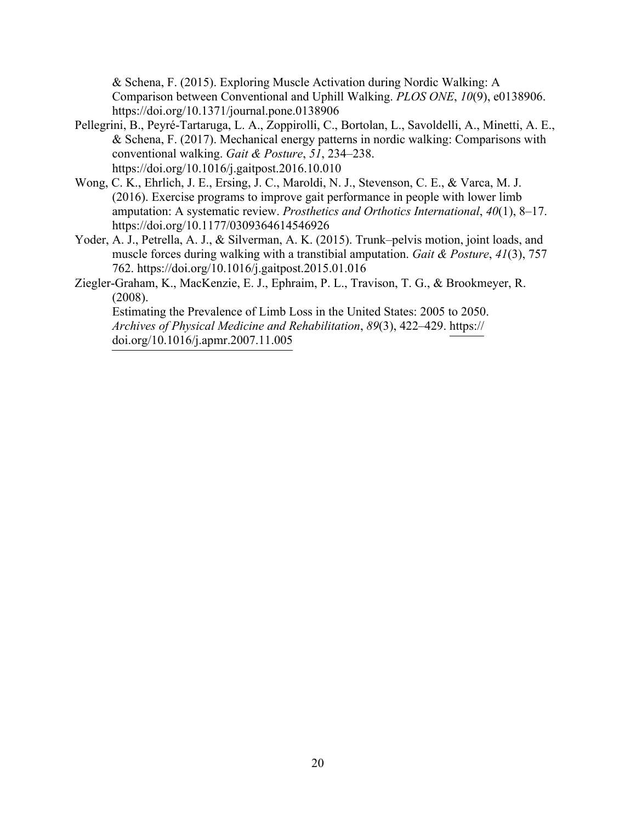& Schena, F. (2015). Exploring Muscle Activation during Nordic Walking: A Comparison between Conventional and Uphill Walking. *PLOS ONE*, *10*(9), e0138906. https://doi.org/10.1371/journal.pone.0138906

- Pellegrini, B., Peyré-Tartaruga, L. A., Zoppirolli, C., Bortolan, L., Savoldelli, A., Minetti, A. E., & Schena, F. (2017). Mechanical energy patterns in nordic walking: Comparisons with conventional walking. *Gait & Posture*, *51*, 234–238. https://doi.org/10.1016/j.gaitpost.2016.10.010
- Wong, C. K., Ehrlich, J. E., Ersing, J. C., Maroldi, N. J., Stevenson, C. E., & Varca, M. J. (2016). Exercise programs to improve gait performance in people with lower limb amputation: A systematic review. *Prosthetics and Orthotics International*, *40*(1), 8–17. https://doi.org/10.1177/0309364614546926
- Yoder, A. J., Petrella, A. J., & Silverman, A. K. (2015). Trunk–pelvis motion, joint loads, and muscle forces during walking with a transtibial amputation. *Gait & Posture*, *41*(3), 757 762. https://doi.org/10.1016/j.gaitpost.2015.01.016
- Ziegler-Graham, K., MacKenzie, E. J., Ephraim, P. L., Travison, T. G., & Brookmeyer, R. (2008).

Estimating the Prevalence of Limb Loss in the United States: 2005 to 2050. *Archives of Physical Medicine and Rehabilitation*, *89*(3), 422–429. https:// doi.org/10.1016/j.apmr.2007.11.005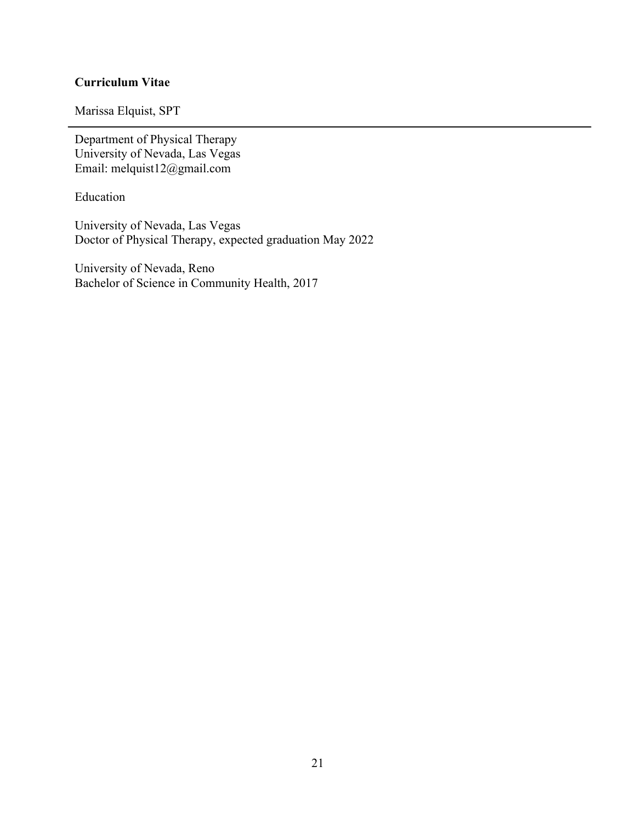#### **Curriculum Vitae**

Marissa Elquist, SPT

Department of Physical Therapy University of Nevada, Las Vegas Email: melquist12@gmail.com

Education

University of Nevada, Las Vegas Doctor of Physical Therapy, expected graduation May 2022

University of Nevada, Reno Bachelor of Science in Community Health, 2017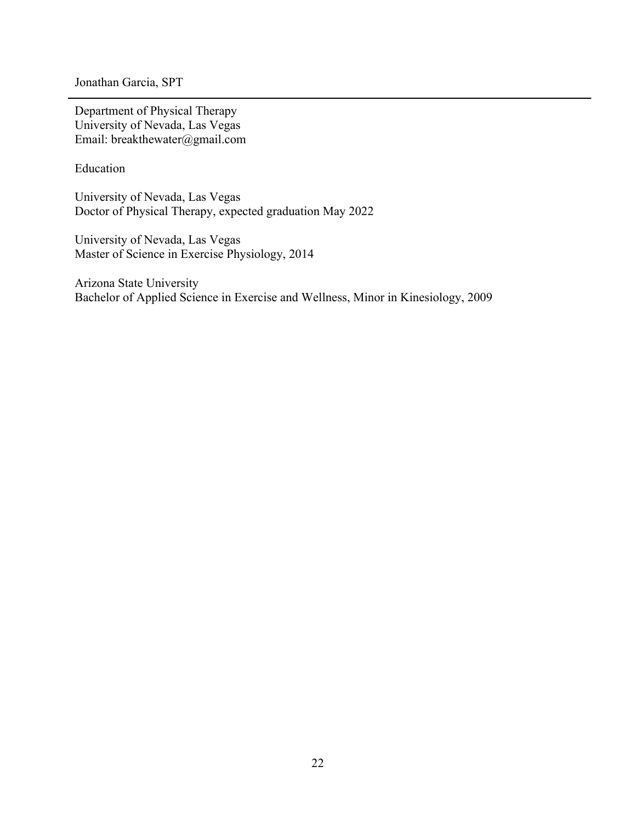Jonathan Garcia, SPT

Department of Physical Therapy University of Nevada, Las Vegas Email: breakthewater@gmail.com

Education

University of Nevada, Las Vegas Doctor of Physical Therapy, expected graduation May 2022

University of Nevada, Las Vegas Master of Science in Exercise Physiology, 2014

Arizona State University Bachelor of Applied Science in Exercise and Wellness, Minor in Kinesiology, 2009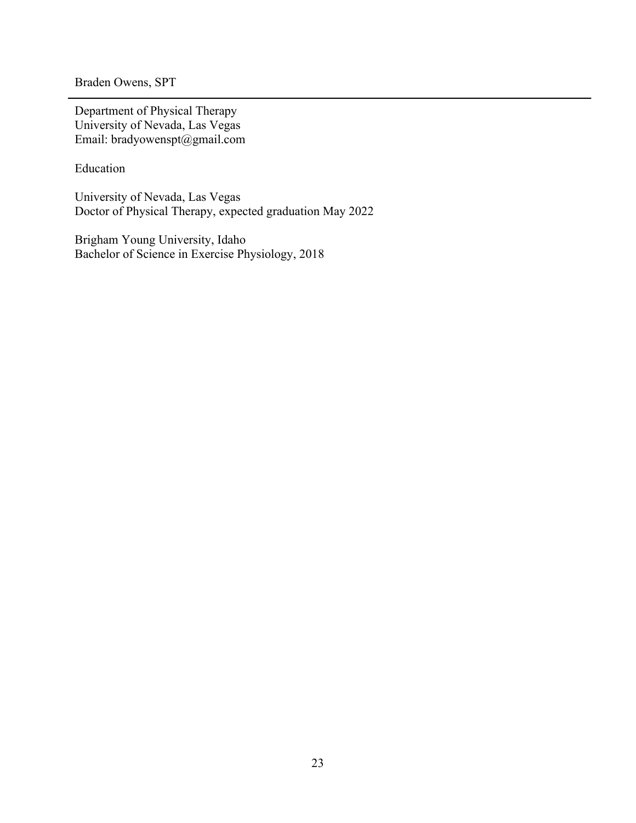Braden Owens, SPT

Department of Physical Therapy University of Nevada, Las Vegas Email: bradyowenspt@gmail.com

Education

University of Nevada, Las Vegas Doctor of Physical Therapy, expected graduation May 2022

Brigham Young University, Idaho Bachelor of Science in Exercise Physiology, 2018